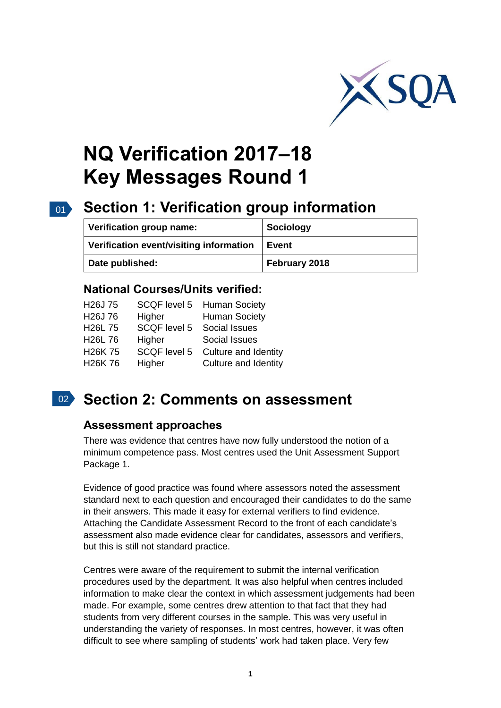

# **NQ Verification 2017–18 Key Messages Round 1**

# 01 **Section 1: Verification group information**

| Verification group name:                | Sociology     |
|-----------------------------------------|---------------|
| Verification event/visiting information | <b>Event</b>  |
| Date published:                         | February 2018 |

#### **National Courses/Units verified:**

| H <sub>26</sub> J 75 |                            | SCQF level 5 Human Society |
|----------------------|----------------------------|----------------------------|
| H <sub>26</sub> J 76 | Higher                     | <b>Human Society</b>       |
| H <sub>26</sub> L 75 | SCQF level 5 Social Issues |                            |
| H <sub>26</sub> L 76 | Higher                     | Social Issues              |
| H <sub>26</sub> K 75 | SCQF level 5               | Culture and Identity       |
| H <sub>26</sub> K 76 | Higher                     | Culture and Identity       |
|                      |                            |                            |

## 02 **Section 2: Comments on assessment**

#### **Assessment approaches**

There was evidence that centres have now fully understood the notion of a minimum competence pass. Most centres used the Unit Assessment Support Package 1.

Evidence of good practice was found where assessors noted the assessment standard next to each question and encouraged their candidates to do the same in their answers. This made it easy for external verifiers to find evidence. Attaching the Candidate Assessment Record to the front of each candidate's assessment also made evidence clear for candidates, assessors and verifiers, but this is still not standard practice.

Centres were aware of the requirement to submit the internal verification procedures used by the department. It was also helpful when centres included information to make clear the context in which assessment judgements had been made. For example, some centres drew attention to that fact that they had students from very different courses in the sample. This was very useful in understanding the variety of responses. In most centres, however, it was often difficult to see where sampling of students' work had taken place. Very few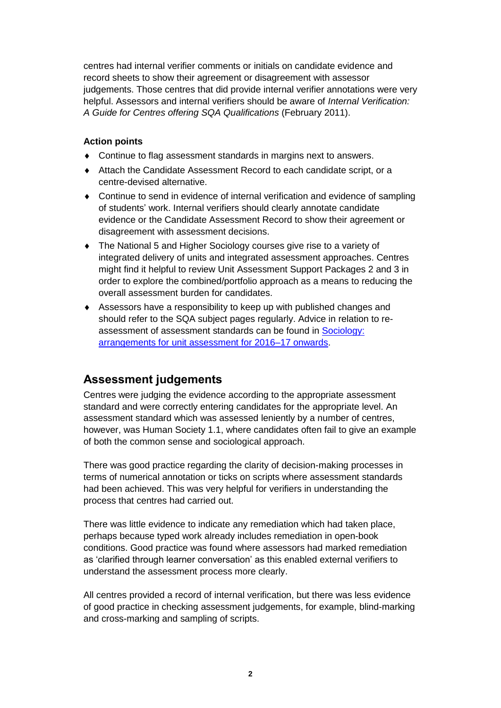centres had internal verifier comments or initials on candidate evidence and record sheets to show their agreement or disagreement with assessor judgements. Those centres that did provide internal verifier annotations were very helpful. Assessors and internal verifiers should be aware of *Internal Verification: A Guide for Centres offering SQA Qualifications* (February 2011).

#### **Action points**

- Continue to flag assessment standards in margins next to answers.
- Attach the Candidate Assessment Record to each candidate script, or a centre-devised alternative.
- Continue to send in evidence of internal verification and evidence of sampling of students' work. Internal verifiers should clearly annotate candidate evidence or the Candidate Assessment Record to show their agreement or disagreement with assessment decisions.
- The National 5 and Higher Sociology courses give rise to a variety of integrated delivery of units and integrated assessment approaches. Centres might find it helpful to review Unit Assessment Support Packages 2 and 3 in order to explore the combined/portfolio approach as a means to reducing the overall assessment burden for candidates.
- Assessors have a responsibility to keep up with published changes and should refer to the SQA subject pages regularly. Advice in relation to reassessment of assessment standards can be found in [Sociology:](https://www.sqa.org.uk/sqa/files_ccc/Sociology_arrangements_for_unit_assessment.pdf)  [arrangements for unit assessment for 2016–17 onwards.](https://www.sqa.org.uk/sqa/files_ccc/Sociology_arrangements_for_unit_assessment.pdf)

### **Assessment judgements**

Centres were judging the evidence according to the appropriate assessment standard and were correctly entering candidates for the appropriate level. An assessment standard which was assessed leniently by a number of centres, however, was Human Society 1.1, where candidates often fail to give an example of both the common sense and sociological approach.

There was good practice regarding the clarity of decision-making processes in terms of numerical annotation or ticks on scripts where assessment standards had been achieved. This was very helpful for verifiers in understanding the process that centres had carried out.

There was little evidence to indicate any remediation which had taken place, perhaps because typed work already includes remediation in open-book conditions. Good practice was found where assessors had marked remediation as 'clarified through learner conversation' as this enabled external verifiers to understand the assessment process more clearly.

All centres provided a record of internal verification, but there was less evidence of good practice in checking assessment judgements, for example, blind-marking and cross-marking and sampling of scripts.